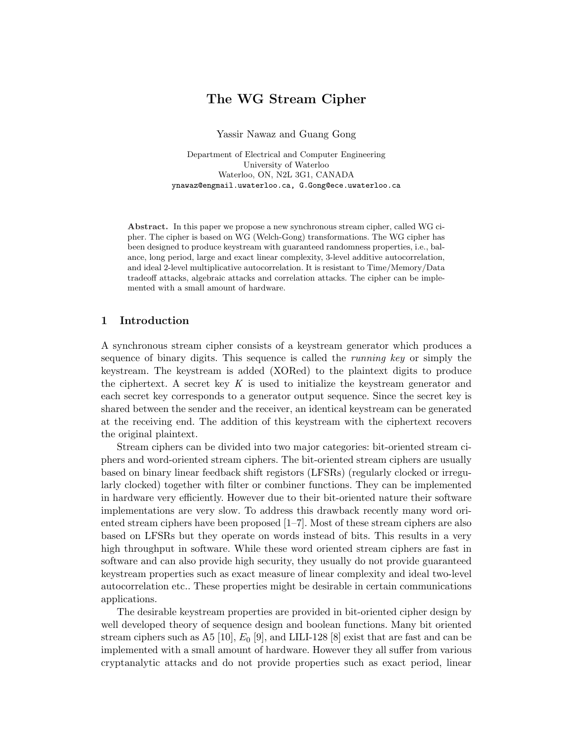# The WG Stream Cipher

Yassir Nawaz and Guang Gong

Department of Electrical and Computer Engineering University of Waterloo Waterloo, ON, N2L 3G1, CANADA ynawaz@engmail.uwaterloo.ca, G.Gong@ece.uwaterloo.ca

Abstract. In this paper we propose a new synchronous stream cipher, called WG cipher. The cipher is based on WG (Welch-Gong) transformations. The WG cipher has been designed to produce keystream with guaranteed randomness properties, i.e., balance, long period, large and exact linear complexity, 3-level additive autocorrelation, and ideal 2-level multiplicative autocorrelation. It is resistant to Time/Memory/Data tradeoff attacks, algebraic attacks and correlation attacks. The cipher can be implemented with a small amount of hardware.

## 1 Introduction

A synchronous stream cipher consists of a keystream generator which produces a sequence of binary digits. This sequence is called the *running key* or simply the keystream. The keystream is added (XORed) to the plaintext digits to produce the ciphertext. A secret key K is used to initialize the keystream generator and each secret key corresponds to a generator output sequence. Since the secret key is shared between the sender and the receiver, an identical keystream can be generated at the receiving end. The addition of this keystream with the ciphertext recovers the original plaintext.

Stream ciphers can be divided into two major categories: bit-oriented stream ciphers and word-oriented stream ciphers. The bit-oriented stream ciphers are usually based on binary linear feedback shift registors (LFSRs) (regularly clocked or irregularly clocked) together with filter or combiner functions. They can be implemented in hardware very efficiently. However due to their bit-oriented nature their software implementations are very slow. To address this drawback recently many word oriented stream ciphers have been proposed [1–7]. Most of these stream ciphers are also based on LFSRs but they operate on words instead of bits. This results in a very high throughput in software. While these word oriented stream ciphers are fast in software and can also provide high security, they usually do not provide guaranteed keystream properties such as exact measure of linear complexity and ideal two-level autocorrelation etc.. These properties might be desirable in certain communications applications.

The desirable keystream properties are provided in bit-oriented cipher design by well developed theory of sequence design and boolean functions. Many bit oriented stream ciphers such as A5 [10],  $E_0$  [9], and LILI-128 [8] exist that are fast and can be implemented with a small amount of hardware. However they all suffer from various cryptanalytic attacks and do not provide properties such as exact period, linear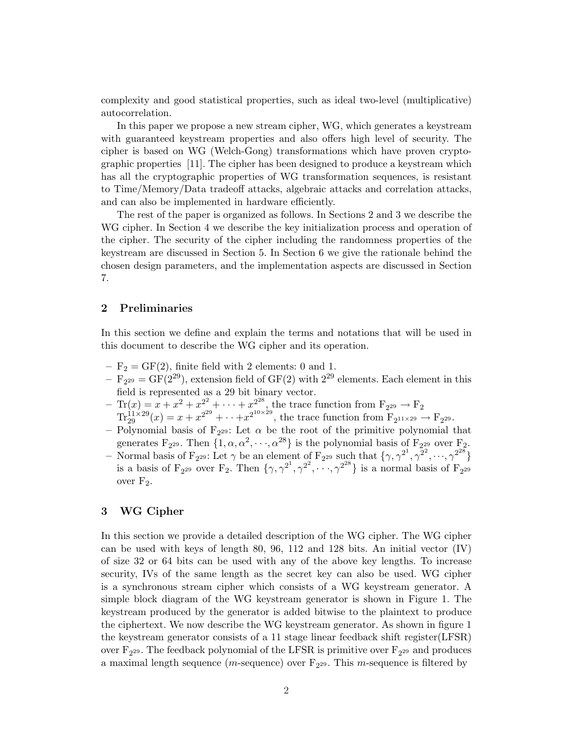complexity and good statistical properties, such as ideal two-level (multiplicative) autocorrelation.

In this paper we propose a new stream cipher, WG, which generates a keystream with guaranteed keystream properties and also offers high level of security. The cipher is based on WG (Welch-Gong) transformations which have proven cryptographic properties [11]. The cipher has been designed to produce a keystream which has all the cryptographic properties of WG transformation sequences, is resistant to Time/Memory/Data tradeoff attacks, algebraic attacks and correlation attacks, and can also be implemented in hardware efficiently.

The rest of the paper is organized as follows. In Sections 2 and 3 we describe the WG cipher. In Section 4 we describe the key initialization process and operation of the cipher. The security of the cipher including the randomness properties of the keystream are discussed in Section 5. In Section 6 we give the rationale behind the chosen design parameters, and the implementation aspects are discussed in Section 7.

## 2 Preliminaries

In this section we define and explain the terms and notations that will be used in this document to describe the WG cipher and its operation.

- $-F_2 = GF(2)$ , finite field with 2 elements: 0 and 1.
- $F_{2^{29}} = GF(2^{29})$ , extension field of  $GF(2)$  with  $2^{29}$  elements. Each element in this field is represented as a 29 bit binary vector.
- $-\text{Tr}(x) = x + x^2 + x^{2^2} + \cdots + x^{2^{28}}$ , the trace function from  $F_{2^{29}} \to F_2$  $\text{Tr}_{29}^{11\times29}(x) = x + x^{2^{29}} + \cdots + x^{2^{10\times29}}$ , the trace function from  $\text{F}_{2^{11\times29}} \to \text{F}_{2^{29}}$ .
- Polynomial basis of  $F_{2^{29}}$ : Let  $\alpha$  be the root of the primitive polynomial that generates  $F_{2^{29}}$ . Then  $\{1, \alpha, \alpha^2, \cdots, \alpha^{28}\}\$ is the polynomial basis of  $F_{2^{29}}$  over  $F_2$ .
- Normal basis of F<sub>229</sub>: Let  $\gamma$  be an element of F<sub>229</sub> such that  $\{\gamma, \gamma^{2^1}, \gamma^{2^2}, \dots, \gamma^{2^{28}}\}$ is a basis of  $F_{2^{29}}$  over  $F_2$ . Then  $\{\gamma, \gamma^{2^1}, \gamma^{2^2}, \cdots, \gamma^{2^{28}}\}$  is a normal basis of  $F_{2^{29}}$ over  $F_2$ .

## 3 WG Cipher

In this section we provide a detailed description of the WG cipher. The WG cipher can be used with keys of length 80, 96, 112 and 128 bits. An initial vector (IV) of size 32 or 64 bits can be used with any of the above key lengths. To increase security, IVs of the same length as the secret key can also be used. WG cipher is a synchronous stream cipher which consists of a WG keystream generator. A simple block diagram of the WG keystream generator is shown in Figure 1. The keystream produced by the generator is added bitwise to the plaintext to produce the ciphertext. We now describe the WG keystream generator. As shown in figure 1 the keystream generator consists of a 11 stage linear feedback shift register(LFSR) over  $F_{2^{29}}$ . The feedback polynomial of the LFSR is primitive over  $F_{2^{29}}$  and produces a maximal length sequence (*m*-sequence) over  $F_{2^{29}}$ . This *m*-sequence is filtered by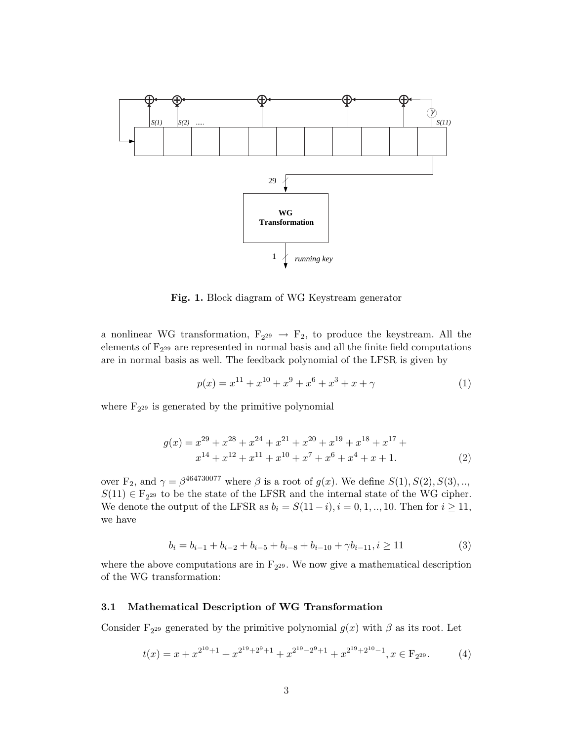

Fig. 1. Block diagram of WG Keystream generator

a nonlinear WG transformation,  $F_{2^{29}} \rightarrow F_2$ , to produce the keystream. All the elements of  $F_{2^{29}}$  are represented in normal basis and all the finite field computations are in normal basis as well. The feedback polynomial of the LFSR is given by

$$
p(x) = x^{11} + x^{10} + x^9 + x^6 + x^3 + x + \gamma \tag{1}
$$

where  $F_{2^{29}}$  is generated by the primitive polynomial

$$
g(x) = x^{29} + x^{28} + x^{24} + x^{21} + x^{20} + x^{19} + x^{18} + x^{17} + x^{14} + x^{12} + x^{11} + x^{10} + x^7 + x^6 + x^4 + x + 1.
$$
 (2)

over  $F_2$ , and  $\gamma = \beta^{464730077}$  where  $\beta$  is a root of  $g(x)$ . We define  $S(1), S(2), S(3), \ldots$  $S(11) \in F_{2^{29}}$  to be the state of the LFSR and the internal state of the WG cipher. We denote the output of the LFSR as  $b_i = S(11-i), i = 0, 1, ..., 10$ . Then for  $i \ge 11$ , we have

$$
b_i = b_{i-1} + b_{i-2} + b_{i-5} + b_{i-8} + b_{i-10} + \gamma b_{i-11}, i \ge 11
$$
\n<sup>(3)</sup>

where the above computations are in  $F_{2^{29}}$ . We now give a mathematical description of the WG transformation:

## 3.1 Mathematical Description of WG Transformation

Consider  $F_{2^{29}}$  generated by the primitive polynomial  $g(x)$  with  $\beta$  as its root. Let

$$
t(x) = x + x^{2^{10}+1} + x^{2^{19}+2^9+1} + x^{2^{19}-2^9+1} + x^{2^{19}+2^{10}-1}, x \in F_{2^{29}}.
$$
 (4)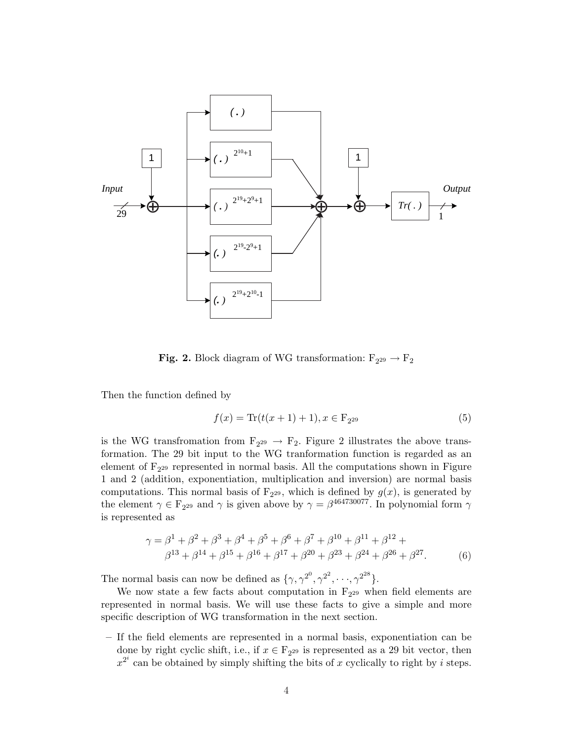

**Fig. 2.** Block diagram of WG transformation:  $F_{2^{29}} \rightarrow F_{2}$ 

Then the function defined by

$$
f(x) = \text{Tr}(t(x+1) + 1), x \in \mathcal{F}_{2^{29}}
$$
 (5)

is the WG transfromation from  $F_{2^{29}} \rightarrow F_2$ . Figure 2 illustrates the above transformation. The 29 bit input to the WG tranformation function is regarded as an element of  $F_{2^{29}}$  represented in normal basis. All the computations shown in Figure 1 and 2 (addition, exponentiation, multiplication and inversion) are normal basis computations. This normal basis of  $F_{2^{29}}$ , which is defined by  $g(x)$ , is generated by the element  $\gamma \in \mathbb{F}_{2^{29}}$  and  $\gamma$  is given above by  $\gamma = \beta^{464730077}$ . In polynomial form  $\gamma$ is represented as

$$
\gamma = \beta^1 + \beta^2 + \beta^3 + \beta^4 + \beta^5 + \beta^6 + \beta^7 + \beta^{10} + \beta^{11} + \beta^{12} +
$$
  

$$
\beta^{13} + \beta^{14} + \beta^{15} + \beta^{16} + \beta^{17} + \beta^{20} + \beta^{23} + \beta^{24} + \beta^{26} + \beta^{27}.
$$
 (6)

The normal basis can now be defined as  $\{\gamma, \gamma^{2^0}, \gamma^{2^2}, \cdots, \gamma^{2^{28}}\}.$ 

We now state a few facts about computation in  $F_{2^{29}}$  when field elements are represented in normal basis. We will use these facts to give a simple and more specific description of WG transformation in the next section.

– If the field elements are represented in a normal basis, exponentiation can be done by right cyclic shift, i.e., if  $x \in F_{2^{29}}$  is represented as a 29 bit vector, then  $x^{2^i}$  can be obtained by simply shifting the bits of x cyclically to right by i steps.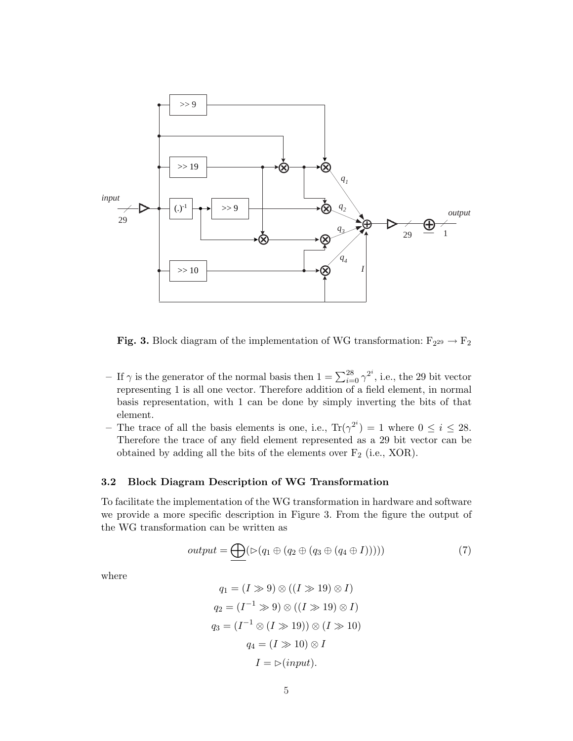

**Fig. 3.** Block diagram of the implementation of WG transformation:  $F_{2^{29}} \rightarrow F_2$ 

- If  $\gamma$  is the generator of the normal basis then  $1 = \sum_{i=0}^{28} \gamma^{2^i}$ , i.e., the 29 bit vector representing 1 is all one vector. Therefore addition of a field element, in normal basis representation, with 1 can be done by simply inverting the bits of that element.
- The trace of all the basis elements is one, i.e.,  $\text{Tr}(\gamma^{2^i}) = 1$  where  $0 \le i \le 28$ . Therefore the trace of any field element represented as a 29 bit vector can be obtained by adding all the bits of the elements over  $F_2$  (i.e., XOR).

## 3.2 Block Diagram Description of WG Transformation

To facilitate the implementation of the WG transformation in hardware and software we provide a more specific description in Figure 3. From the figure the output of the WG transformation can be written as

$$
output = \underbrace{\bigoplus} (\triangleright (q_1 \oplus (q_2 \oplus (q_3 \oplus (q_4 \oplus I))))\big) \tag{7}
$$

where

$$
q_1 = (I \gg 9) \otimes ((I \gg 19) \otimes I)
$$
  
\n
$$
q_2 = (I^{-1} \gg 9) \otimes ((I \gg 19) \otimes I)
$$
  
\n
$$
q_3 = (I^{-1} \otimes (I \gg 19)) \otimes (I \gg 10)
$$
  
\n
$$
q_4 = (I \gg 10) \otimes I
$$
  
\n
$$
I = \rhd (input).
$$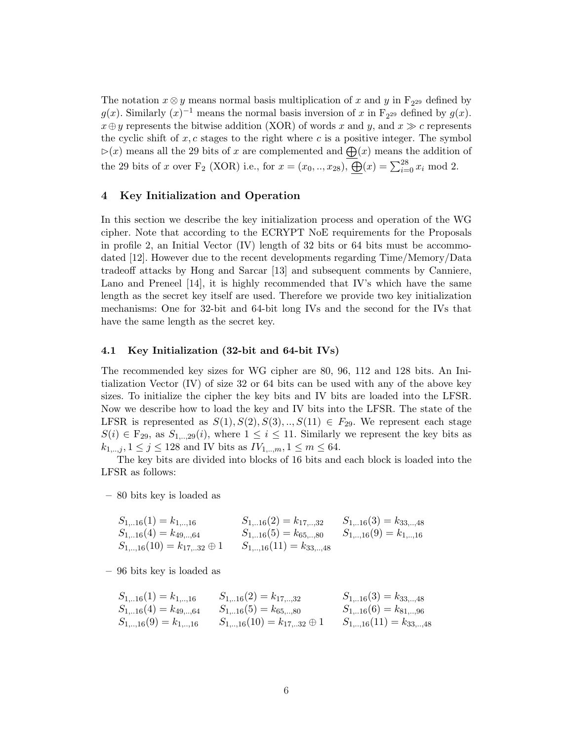The notation  $x \otimes y$  means normal basis multiplication of x and y in  $F_{2^{29}}$  defined by  $g(x)$ . Similarly  $(x)^{-1}$  means the normal basis inversion of x in F<sub>229</sub> defined by  $g(x)$ .  $x \oplus y$  represents the bitwise addition (XOR) of words x and y, and  $x \gg c$  represents the cyclic shift of  $x, c$  stages to the right where c is a positive integer. The symbol  $\triangleright(x)$  means all the 29 bits of x are complemented and  $\bigoplus(x)$  means the addition of the 29 bits of x over F<sub>2</sub> (XOR) i.e., for  $x = (x_0,..,x_{28})$ ,  $\overline{\bigoplus}(x) = \sum_{i=0}^{28} x_i$  mod 2.

## 4 Key Initialization and Operation

In this section we describe the key initialization process and operation of the WG cipher. Note that according to the ECRYPT NoE requirements for the Proposals in profile 2, an Initial Vector  $(IV)$  length of 32 bits or 64 bits must be accommodated [12]. However due to the recent developments regarding Time/Memory/Data tradeoff attacks by Hong and Sarcar [13] and subsequent comments by Canniere, Lano and Preneel [14], it is highly recommended that IV's which have the same length as the secret key itself are used. Therefore we provide two key initialization mechanisms: One for 32-bit and 64-bit long IVs and the second for the IVs that have the same length as the secret key.

## 4.1 Key Initialization (32-bit and 64-bit IVs)

The recommended key sizes for WG cipher are 80, 96, 112 and 128 bits. An Initialization Vector (IV) of size 32 or 64 bits can be used with any of the above key sizes. To initialize the cipher the key bits and IV bits are loaded into the LFSR. Now we describe how to load the key and IV bits into the LFSR. The state of the LFSR is represented as  $S(1), S(2), S(3), \ldots, S(11) \in F_{29}$ . We represent each stage  $S(i) \in \mathbb{F}_{29}$ , as  $S_{1,..,29}(i)$ , where  $1 \leq i \leq 11$ . Similarly we represent the key bits as  $k_{1,..,j}, 1 \leq j \leq 128$  and IV bits as  $IV_{1,..,m}, 1 \leq m \leq 64$ .

The key bits are divided into blocks of 16 bits and each block is loaded into the LFSR as follows:

– 80 bits key is loaded as

| $S_{1,16}(1) = k_{1,16}$             | $S_{1,16}(2) = k_{17,32}$ $S_{1,16}(3) = k_{33,48}$ |  |
|--------------------------------------|-----------------------------------------------------|--|
| $S_{116}(4) = k_{4964}$              | $S_{1,16}(5) = k_{65,80}$ $S_{1,16}(9) = k_{1,16}$  |  |
| $S_{1,,16}(10) = k_{17,32} \oplus 1$ | $S_{1,,16}(11) = k_{33,,48}$                        |  |

– 96 bits key is loaded as

$$
S_{1,..16}(1) = k_{1,..16}
$$
\n
$$
S_{1,..16}(2) = k_{17,..32}
$$
\n
$$
S_{1,..16}(3) = k_{33,..48}
$$
\n
$$
S_{1,..16}(4) = k_{49,..64}
$$
\n
$$
S_{1,..16}(5) = k_{65,..80}
$$
\n
$$
S_{1,..16}(6) = k_{81,..96}
$$
\n
$$
S_{1,..16}(9) = k_{11,..16}
$$
\n
$$
S_{1,..16}(10) = k_{17,..32} \oplus 1
$$
\n
$$
S_{1,..16}(11) = k_{33,..48}
$$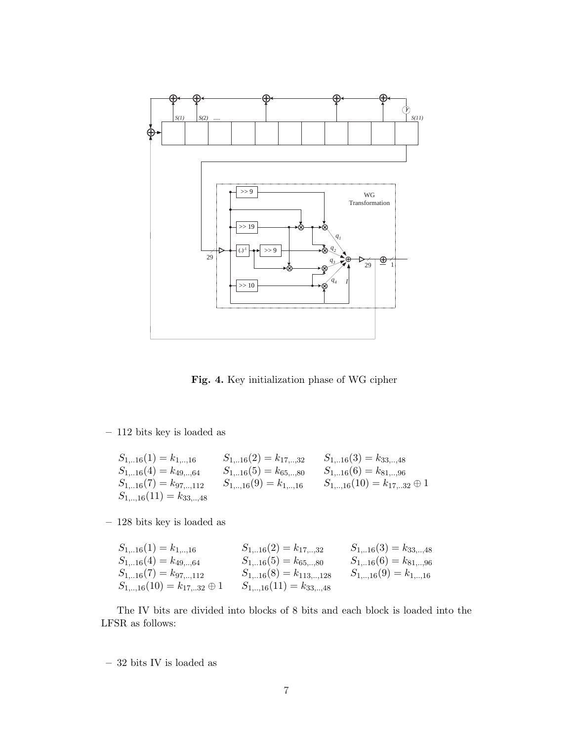

Fig. 4. Key initialization phase of WG cipher

– 112 bits key is loaded as

$$
S_{1,..16}(1) = k_{1,..,16}
$$
\n
$$
S_{1,..16}(2) = k_{17,..,32}
$$
\n
$$
S_{1,..16}(3) = k_{33,..,48}
$$
\n
$$
S_{1,..16}(4) = k_{49,..,64}
$$
\n
$$
S_{1,..16}(5) = k_{65,..,80}
$$
\n
$$
S_{1,..16}(6) = k_{81,..,96}
$$
\n
$$
S_{1,..16}(7) = k_{97,..,112}
$$
\n
$$
S_{1,..,16}(9) = k_{1,..,16}
$$
\n
$$
S_{1,..,16}(10) = k_{17,..32} \oplus 1
$$
\n
$$
S_{1,..,16}(11) = k_{33,..,48}
$$

– 128 bits key is loaded as

| $S_{1,16}(1) = k_{1,16}$                        | $S_{1,16}(2) = k_{17,32}$    | $S_{1,16}(3) = k_{33,,48}$ |
|-------------------------------------------------|------------------------------|----------------------------|
| $S_{116}(4) = k_{4964}$                         | $S_{116}(5) = k_{6580}$      | $S_{1,16}(6) = k_{81,96}$  |
| $S_{116}(7) = k_{97112}$                        | $S_{116}(8) = k_{113128}$    | $S_{1,,16}(9) = k_{1,,16}$ |
| $S_{1,\dots,16}(10) = k_{17,\dots,32} \oplus 1$ | $S_{1,,16}(11) = k_{33,,48}$ |                            |

The IV bits are divided into blocks of 8 bits and each block is loaded into the LFSR as follows:

 $-$  32 bits IV is loaded as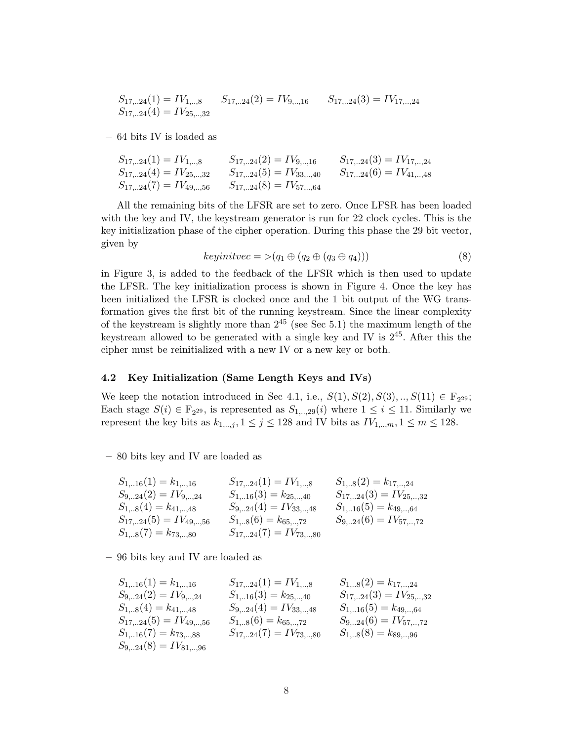$$
S_{17,..24}(1) = IV_{1,..8}
$$
  $S_{17,..24}(2) = IV_{9,..16}$   $S_{17,..24}(3) = IV_{17,..24}$   
 $S_{17,..24}(4) = IV_{25,..32}$ 

– 64 bits IV is loaded as

| $S_{1724}(1) = IV_{18}$                                 | $S_{1724}(2) = IV_{916}$ | $S_{17,24}(3) = IV_{17,24}$ |
|---------------------------------------------------------|--------------------------|-----------------------------|
| $S_{1724}(4) = IV_{2532}$ $S_{1724}(5) = IV_{3340}$     |                          | $S_{1724}(6) = IV_{4148}$   |
| $S_{17,24}(7) = IV_{49,56}$ $S_{17,24}(8) = IV_{57,64}$ |                          |                             |

All the remaining bits of the LFSR are set to zero. Once LFSR has been loaded with the key and IV, the keystream generator is run for 22 clock cycles. This is the key initialization phase of the cipher operation. During this phase the 29 bit vector, given by

$$
keyinitvec = \triangleright (q_1 \oplus (q_2 \oplus (q_3 \oplus q_4))) \tag{8}
$$

in Figure 3, is added to the feedback of the LFSR which is then used to update the LFSR. The key initialization process is shown in Figure 4. Once the key has been initialized the LFSR is clocked once and the 1 bit output of the WG transformation gives the first bit of the running keystream. Since the linear complexity of the keystream is slightly more than  $2^{45}$  (see Sec 5.1) the maximum length of the keystream allowed to be generated with a single key and IV is  $2^{45}$ . After this the cipher must be reinitialized with a new IV or a new key or both.

#### 4.2 Key Initialization (Same Length Keys and IVs)

We keep the notation introduced in Sec 4.1, i.e.,  $S(1), S(2), S(3), ..., S(11) \in F_{2^{29}};$ Each stage  $S(i) \in \mathbb{F}_{2^{29}}$ , is represented as  $S_{1,..,29}(i)$  where  $1 \leq i \leq 11$ . Similarly we represent the key bits as  $k_{1,..,j}$ ,  $1 \leq j \leq 128$  and IV bits as  $IV_{1,..,m}$ ,  $1 \leq m \leq 128$ .

– 80 bits key and IV are loaded as

| $S_{1,16}(1) = k_{1,16}$  | $S_{1724}(1) = IV_{18}$     | $S_{1,8}(2) = k_{17,,24}$ |
|---------------------------|-----------------------------|---------------------------|
| $S_{924}(2) = IV_{924}$   | $S_{1,16}(3) = k_{25,40}$   | $S_{1724}(3) = IV_{2532}$ |
| $S_{1,8}(4) = k_{41,48}$  | $S_{924}(4) = IV_{3348}$    | $S_{1,16}(5) = k_{49,64}$ |
| $S_{1724}(5) = IV_{4956}$ | $S_{1,8}(6) = k_{65,72}$    | $S_{924}(6) = IV_{5772}$  |
| $S_{1,8}(7) = k_{73,,80}$ | $S_{17,24}(7) = IV_{73,80}$ |                           |

– 96 bits key and IV are loaded as

| $S_{1,..16}(1) = k_{1,..16}$    | $S_{17,..24}(1) = IV_{1,..8}$   | $S_{1,..8}(2) = k_{17,..24}$    |
|---------------------------------|---------------------------------|---------------------------------|
| $S_{9,..24}(2) = IV_{9,..24}$   | $S_{1,..16}(3) = k_{25,..40}$   | $S_{17,..24}(3) = IV_{25,..32}$ |
| $S_{1,..8}(4) = k_{41,..48}$    | $S_{9,..24}(4) = IV_{33,..48}$  | $S_{17,..24}(3) = IV_{25,..32}$ |
| $S_{17,..24}(5) = IV_{49,..56}$ | $S_{1,..8}(6) = k_{65,..72}$    | $S_{9,..24}(6) = IV_{57,..72}$  |
| $S_{1,..16}(7) = k_{73,..88}$   | $S_{17,..24}(7) = IV_{73,..80}$ | $S_{1,..8}(8) = k_{89,..96}$    |
| $S_{9,..24}(8) = IV_{81,..96}$  | $S_{17,..24}(7) = IV_{73,..80}$ | $S_{1,..8}(8) = k_{89,..96}$    |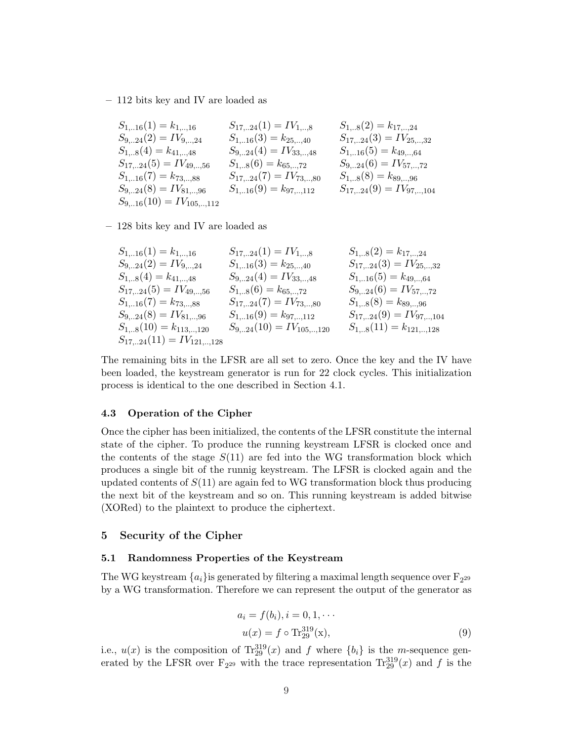– 112 bits key and IV are loaded as

$$
\begin{array}{lllllllll} S_{1,..16}(1)=k_{1,..,16} & S_{17,..24}(1)=IV_{1,..,8} & S_{1,..8}(2)=k_{17,..24} \\ S_{9,..24}(2)=IV_{9,..24} & S_{1,..16}(3)=k_{25,..,40} & S_{1,7,..24}(3)=IV_{25,..,32} \\ S_{1,..8}(4)=k_{41,..,48} & S_{9,..24}(4)=IV_{33,..,48} & S_{1,..16}(5)=k_{49,..,64} \\ S_{17,..24}(5)=IV_{49,..,56} & S_{1,..8}(6)=k_{65,..,72} & S_{9,..24}(6)=IV_{57,..,72} \\ S_{1,..16}(7)=k_{73,..,88} & S_{17,..24}(7)=IV_{73,..,80} & S_{1,..8}(8)=k_{89,..,96} \\ S_{9,..24}(8)=IV_{81,..,96} & S_{1,..16}(9)=k_{97,..,112} & S_{17,..24}(9)=IV_{97,..,104} \\ S_{9,..16}(10)=IV_{105,..,112} & S_{17,..24}(9)=IV_{97,..,104} \end{array}
$$

– 128 bits key and IV are loaded as

| $S_{1,..16}(1) = k_{1,..,16}$       | $S_{17,..24}(1) = IV_{1,..,8}$      | $S_{1,..8}(2) = k_{17,..24}$          |
|-------------------------------------|-------------------------------------|---------------------------------------|
| $S_{9,..24}(2) = IV_{9,..,24}$      | $S_{1,..16}(3) = k_{25,..,40}$      | $S_{17,..24}(3) = IV_{25,..,32}$      |
| $S_{1,..8}(4) = k_{41,..,48}$       | $S_{9,..24}(4) = IV_{33,..,48}$     | $S_{1,..16}(5) = k_{49,..,64}$        |
| $S_{17,..24}(5) = IV_{49,..,56}$    | $S_{1,..8}(6) = k_{65,..,72}$       | $S_{9,..24}(6) = IV_{57,..,72}$       |
| $S_{1,..16}(7) = k_{73,..,88}$      | $S_{17,..24}(7) = IV_{73,..,80}$    | $S_{1,..8}(8) = k_{89,..,96}$         |
| $S_{9,..24}(8) = IV_{81,..96}$      | $S_{1,..16}(9) = k_{97,..,112}$     | $S_{17,..24}(9) = IV_{97,..,104}$     |
| $S_{1,..8}(10) = k_{113,..,120}$    | $S_{9,..24}(10) = IV_{105,..,120}$  | $S_{1,..8}(11) = k_{121,..,128}$      |
| $S_{17,..24}(11) = IV_{121,..,128}$ | $S_{17,..24}(19) = IV_{105,..,120}$ | $S_{1,..8}(11) = k_{121,..,128}$ </td |

The remaining bits in the LFSR are all set to zero. Once the key and the IV have been loaded, the keystream generator is run for 22 clock cycles. This initialization process is identical to the one described in Section 4.1.

#### 4.3 Operation of the Cipher

Once the cipher has been initialized, the contents of the LFSR constitute the internal state of the cipher. To produce the running keystream LFSR is clocked once and the contents of the stage  $S(11)$  are fed into the WG transformation block which produces a single bit of the runnig keystream. The LFSR is clocked again and the updated contents of  $S(11)$  are again fed to WG transformation block thus producing the next bit of the keystream and so on. This running keystream is added bitwise (XORed) to the plaintext to produce the ciphertext.

## 5 Security of the Cipher

## 5.1 Randomness Properties of the Keystream

The WG keystream  $\{a_i\}$ is generated by filtering a maximal length sequence over  $\mathrm{F}_{2^{29}}$ by a WG transformation. Therefore we can represent the output of the generator as

$$
a_i = f(b_i), i = 0, 1, \cdots
$$
  

$$
u(x) = f \circ \text{Tr}_{29}^{319}(\mathbf{x}),
$$
 (9)

i.e.,  $u(x)$  is the composition of  $\text{Tr}_{29}^{319}(x)$  and f where  $\{b_i\}$  is the m-sequence generated by the LFSR over  $F_{2^{29}}$  with the trace representation  $\text{Tr}_{29}^{319}(x)$  and f is the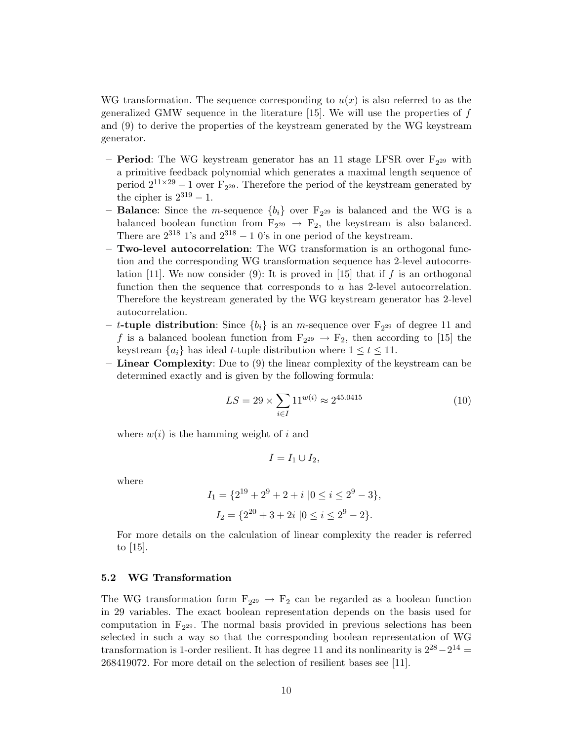WG transformation. The sequence corresponding to  $u(x)$  is also referred to as the generalized GMW sequence in the literature [15]. We will use the properties of  $f$ and (9) to derive the properties of the keystream generated by the WG keystream generator.

- **Period**: The WG keystream generator has an 11 stage LFSR over  $F_{2^{29}}$  with a primitive feedback polynomial which generates a maximal length sequence of period  $2^{11\times29} - 1$  over  $F_{2^{29}}$ . Therefore the period of the keystream generated by the cipher is  $2^{319} - 1$ .
- **Balance**: Since the *m*-sequence  ${b_i}$  over  ${F_{2^{29}}}$  is balanced and the WG is a balanced boolean function from  $F_{2^{29}} \rightarrow F_{2}$ , the keystream is also balanced. There are  $2^{318}$  1's and  $2^{318} - 10$ 's in one period of the keystream.
- Two-level autocorrelation: The WG transformation is an orthogonal function and the corresponding WG transformation sequence has 2-level autocorrelation [11]. We now consider (9): It is proved in [15] that if f is an orthogonal function then the sequence that corresponds to  $u$  has 2-level autocorrelation. Therefore the keystream generated by the WG keystream generator has 2-level autocorrelation.
- t-tuple distribution: Since  ${b_i}$  is an *m*-sequence over  $F_{2^{29}}$  of degree 11 and f is a balanced boolean function from  $F_{2^{29}} \rightarrow F_2$ , then according to [15] the keystream  $\{a_i\}$  has ideal t-tuple distribution where  $1 \leq t \leq 11$ .
- Linear Complexity: Due to (9) the linear complexity of the keystream can be determined exactly and is given by the following formula:

$$
LS = 29 \times \sum_{i \in I} 11^{w(i)} \approx 2^{45.0415} \tag{10}
$$

where  $w(i)$  is the hamming weight of i and

$$
I=I_1\cup I_2,
$$

where

$$
I_1 = \{2^{19} + 2^9 + 2 + i \mid 0 \le i \le 2^9 - 3\},
$$
  

$$
I_2 = \{2^{20} + 3 + 2i \mid 0 \le i \le 2^9 - 2\}.
$$

For more details on the calculation of linear complexity the reader is referred to  $|15|$ .

### 5.2 WG Transformation

The WG transformation form  $F_{2^{29}} \rightarrow F_2$  can be regarded as a boolean function in 29 variables. The exact boolean representation depends on the basis used for computation in  $F_{2^{29}}$ . The normal basis provided in previous selections has been selected in such a way so that the corresponding boolean representation of WG transformation is 1-order resilient. It has degree 11 and its nonlinearity is  $2^{28} - 2^{14} =$ 268419072. For more detail on the selection of resilient bases see [11].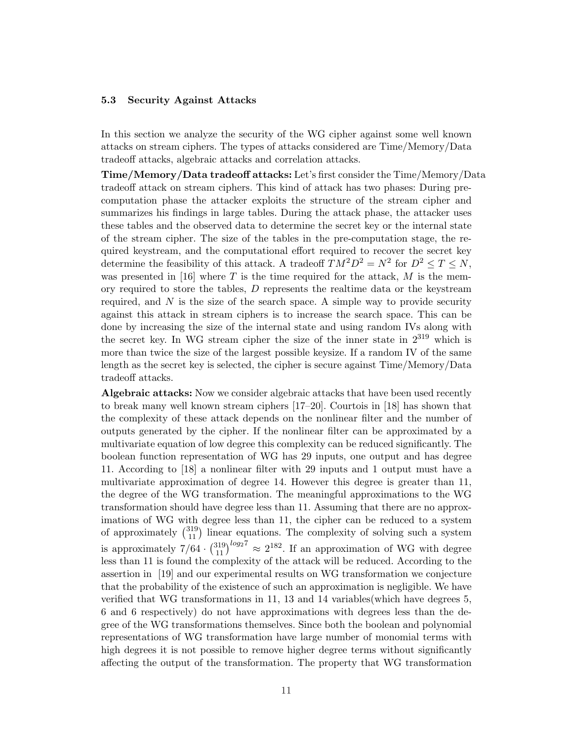### 5.3 Security Against Attacks

In this section we analyze the security of the WG cipher against some well known attacks on stream ciphers. The types of attacks considered are Time/Memory/Data tradeoff attacks, algebraic attacks and correlation attacks.

Time/Memory/Data tradeoff attacks: Let's first consider the Time/Memory/Data tradeoff attack on stream ciphers. This kind of attack has two phases: During precomputation phase the attacker exploits the structure of the stream cipher and summarizes his findings in large tables. During the attack phase, the attacker uses these tables and the observed data to determine the secret key or the internal state of the stream cipher. The size of the tables in the pre-computation stage, the required keystream, and the computational effort required to recover the secret key determine the feasibility of this attack. A tradeoff  $TM^2D^2 = N^2$  for  $D^2 \leq T \leq N$ , was presented in [16] where T is the time required for the attack, M is the memory required to store the tables,  $D$  represents the realtime data or the keystream required, and  $N$  is the size of the search space. A simple way to provide security against this attack in stream ciphers is to increase the search space. This can be done by increasing the size of the internal state and using random IVs along with the secret key. In WG stream cipher the size of the inner state in  $2^{319}$  which is more than twice the size of the largest possible keysize. If a random IV of the same length as the secret key is selected, the cipher is secure against Time/Memory/Data tradeoff attacks.

Algebraic attacks: Now we consider algebraic attacks that have been used recently to break many well known stream ciphers [17–20]. Courtois in [18] has shown that the complexity of these attack depends on the nonlinear filter and the number of outputs generated by the cipher. If the nonlinear filter can be approximated by a multivariate equation of low degree this complexity can be reduced significantly. The boolean function representation of WG has 29 inputs, one output and has degree 11. According to [18] a nonlinear filter with 29 inputs and 1 output must have a multivariate approximation of degree 14. However this degree is greater than 11, the degree of the WG transformation. The meaningful approximations to the WG transformation should have degree less than 11. Assuming that there are no approximations of WG with degree less than 11, the cipher can be reduced to a system mations of wG with degree less than 11, the cipher can be reduced to a system<br>of approximately  $\binom{319}{11}$  linear equations. The complexity of solving such a system is approximately  $7/64$ .  $\binom{319}{11}^{log_2 7} \approx 2^{182}$ . If an approximation of WG with degree less than 11 is found the complexity of the attack will be reduced. According to the assertion in [19] and our experimental results on WG transformation we conjecture that the probability of the existence of such an approximation is negligible. We have verified that WG transformations in 11, 13 and 14 variables(which have degrees 5, 6 and 6 respectively) do not have approximations with degrees less than the degree of the WG transformations themselves. Since both the boolean and polynomial representations of WG transformation have large number of monomial terms with high degrees it is not possible to remove higher degree terms without significantly affecting the output of the transformation. The property that WG transformation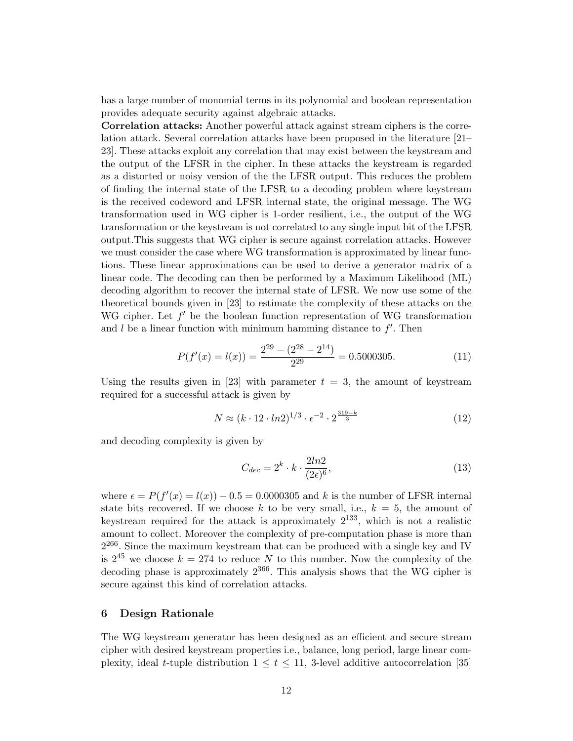has a large number of monomial terms in its polynomial and boolean representation provides adequate security against algebraic attacks.

Correlation attacks: Another powerful attack against stream ciphers is the correlation attack. Several correlation attacks have been proposed in the literature [21– 23]. These attacks exploit any correlation that may exist between the keystream and the output of the LFSR in the cipher. In these attacks the keystream is regarded as a distorted or noisy version of the the LFSR output. This reduces the problem of finding the internal state of the LFSR to a decoding problem where keystream is the received codeword and LFSR internal state, the original message. The WG transformation used in WG cipher is 1-order resilient, i.e., the output of the WG transformation or the keystream is not correlated to any single input bit of the LFSR output.This suggests that WG cipher is secure against correlation attacks. However we must consider the case where WG transformation is approximated by linear functions. These linear approximations can be used to derive a generator matrix of a linear code. The decoding can then be performed by a Maximum Likelihood (ML) decoding algorithm to recover the internal state of LFSR. We now use some of the theoretical bounds given in [23] to estimate the complexity of these attacks on the WG cipher. Let  $f'$  be the boolean function representation of WG transformation and  $l$  be a linear function with minimum hamming distance to  $f'$ . Then

$$
P(f'(x) = l(x)) = \frac{2^{29} - (2^{28} - 2^{14})}{2^{29}} = 0.5000305.
$$
 (11)

Using the results given in [23] with parameter  $t = 3$ , the amount of keystream required for a successful attack is given by

$$
N \approx (k \cdot 12 \cdot \ln 2)^{1/3} \cdot \epsilon^{-2} \cdot 2^{\frac{319-k}{3}}
$$
 (12)

and decoding complexity is given by

$$
C_{dec} = 2^k \cdot k \cdot \frac{2ln2}{(2\epsilon)^6},\tag{13}
$$

where  $\epsilon = P(f'(x) = l(x)) - 0.5 = 0.0000305$  and k is the number of LFSR internal state bits recovered. If we choose k to be very small, i.e.,  $k = 5$ , the amount of keystream required for the attack is approximately  $2^{133}$ , which is not a realistic amount to collect. Moreover the complexity of pre-computation phase is more than  $2^{266}$ . Since the maximum keystream that can be produced with a single key and IV is  $2^{45}$  we choose  $k = 274$  to reduce N to this number. Now the complexity of the decoding phase is approximately  $2^{366}$ . This analysis shows that the WG cipher is secure against this kind of correlation attacks.

## 6 Design Rationale

The WG keystream generator has been designed as an efficient and secure stream cipher with desired keystream properties i.e., balance, long period, large linear complexity, ideal t-tuple distribution  $1 \le t \le 11$ , 3-level additive autocorrelation [35]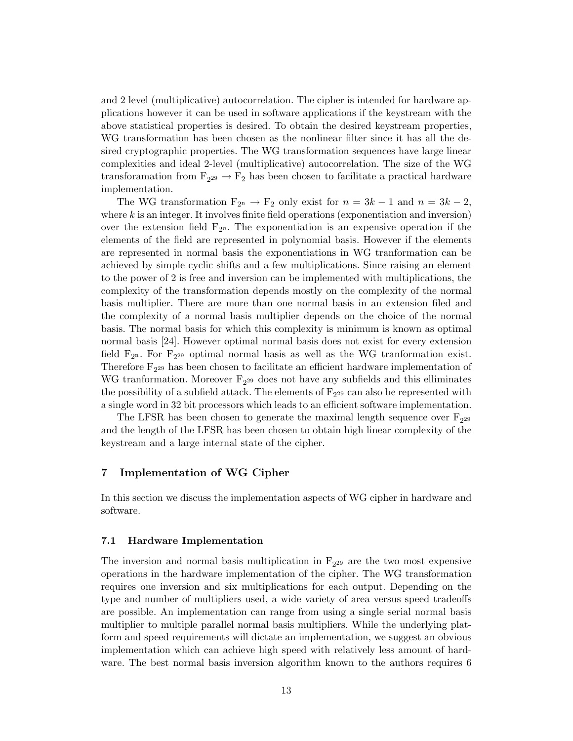and 2 level (multiplicative) autocorrelation. The cipher is intended for hardware applications however it can be used in software applications if the keystream with the above statistical properties is desired. To obtain the desired keystream properties, WG transformation has been chosen as the nonlinear filter since it has all the desired cryptographic properties. The WG transformation sequences have large linear complexities and ideal 2-level (multiplicative) autocorrelation. The size of the WG transforamation from  $F_{2^{29}} \rightarrow F_2$  has been chosen to facilitate a practical hardware implementation.

The WG transformation  $F_{2^n} \to F_2$  only exist for  $n = 3k - 1$  and  $n = 3k - 2$ , where  $k$  is an integer. It involves finite field operations (exponentiation and inversion) over the extension field  $F_{2^n}$ . The exponentiation is an expensive operation if the elements of the field are represented in polynomial basis. However if the elements are represented in normal basis the exponentiations in WG tranformation can be achieved by simple cyclic shifts and a few multiplications. Since raising an element to the power of 2 is free and inversion can be implemented with multiplications, the complexity of the transformation depends mostly on the complexity of the normal basis multiplier. There are more than one normal basis in an extension filed and the complexity of a normal basis multiplier depends on the choice of the normal basis. The normal basis for which this complexity is minimum is known as optimal normal basis [24]. However optimal normal basis does not exist for every extension field  $F_{2^n}$ . For  $F_{2^{29}}$  optimal normal basis as well as the WG tranformation exist. Therefore  $F_{2^{29}}$  has been chosen to facilitate an efficient hardware implementation of WG tranformation. Moreover  $F_{2^{29}}$  does not have any subfields and this elliminates the possibility of a subfield attack. The elements of  $F_{2^{29}}$  can also be represented with a single word in 32 bit processors which leads to an efficient software implementation.

The LFSR has been chosen to generate the maximal length sequence over  $F_{2^{29}}$ and the length of the LFSR has been chosen to obtain high linear complexity of the keystream and a large internal state of the cipher.

## 7 Implementation of WG Cipher

In this section we discuss the implementation aspects of WG cipher in hardware and software.

#### 7.1 Hardware Implementation

The inversion and normal basis multiplication in  $F_{2^{29}}$  are the two most expensive operations in the hardware implementation of the cipher. The WG transformation requires one inversion and six multiplications for each output. Depending on the type and number of multipliers used, a wide variety of area versus speed tradeoffs are possible. An implementation can range from using a single serial normal basis multiplier to multiple parallel normal basis multipliers. While the underlying platform and speed requirements will dictate an implementation, we suggest an obvious implementation which can achieve high speed with relatively less amount of hardware. The best normal basis inversion algorithm known to the authors requires 6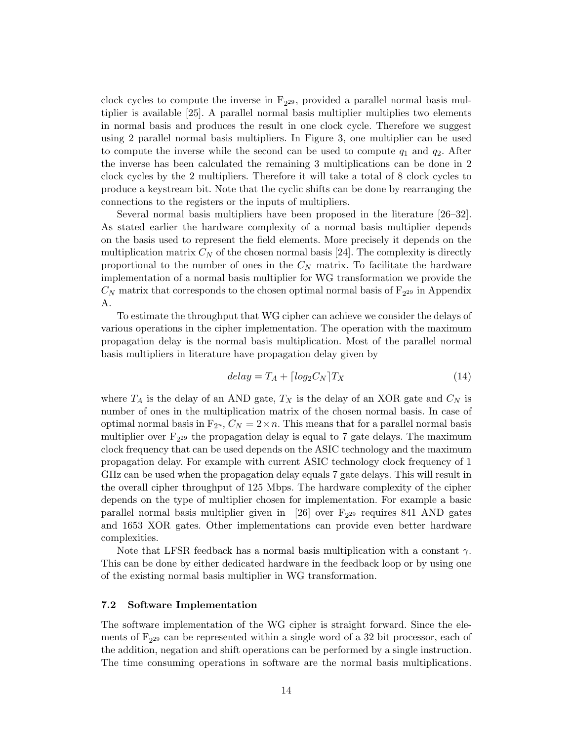clock cycles to compute the inverse in  $F_{2^{29}}$ , provided a parallel normal basis multiplier is available [25]. A parallel normal basis multiplier multiplies two elements in normal basis and produces the result in one clock cycle. Therefore we suggest using 2 parallel normal basis multipliers. In Figure 3, one multiplier can be used to compute the inverse while the second can be used to compute  $q_1$  and  $q_2$ . After the inverse has been calculated the remaining 3 multiplications can be done in 2 clock cycles by the 2 multipliers. Therefore it will take a total of 8 clock cycles to produce a keystream bit. Note that the cyclic shifts can be done by rearranging the connections to the registers or the inputs of multipliers.

Several normal basis multipliers have been proposed in the literature [26–32]. As stated earlier the hardware complexity of a normal basis multiplier depends on the basis used to represent the field elements. More precisely it depends on the multiplication matrix  $C_N$  of the chosen normal basis [24]. The complexity is directly proportional to the number of ones in the  $C<sub>N</sub>$  matrix. To facilitate the hardware implementation of a normal basis multiplier for WG transformation we provide the  $C_N$  matrix that corresponds to the chosen optimal normal basis of  $F_{2^{29}}$  in Appendix A.

To estimate the throughput that WG cipher can achieve we consider the delays of various operations in the cipher implementation. The operation with the maximum propagation delay is the normal basis multiplication. Most of the parallel normal basis multipliers in literature have propagation delay given by

$$
delay = T_A + \lceil log_2 C_N \rceil T_X \tag{14}
$$

where  $T_A$  is the delay of an AND gate,  $T_X$  is the delay of an XOR gate and  $C_N$  is number of ones in the multiplication matrix of the chosen normal basis. In case of optimal normal basis in  $F_{2^n}$ ,  $C_N = 2 \times n$ . This means that for a parallel normal basis multiplier over  $F_{2^{29}}$  the propagation delay is equal to 7 gate delays. The maximum clock frequency that can be used depends on the ASIC technology and the maximum propagation delay. For example with current ASIC technology clock frequency of 1 GHz can be used when the propagation delay equals 7 gate delays. This will result in the overall cipher throughput of 125 Mbps. The hardware complexity of the cipher depends on the type of multiplier chosen for implementation. For example a basic parallel normal basis multiplier given in [26] over  $F_{2^{29}}$  requires 841 AND gates and 1653 XOR gates. Other implementations can provide even better hardware complexities.

Note that LFSR feedback has a normal basis multiplication with a constant  $\gamma$ . This can be done by either dedicated hardware in the feedback loop or by using one of the existing normal basis multiplier in WG transformation.

#### 7.2 Software Implementation

The software implementation of the WG cipher is straight forward. Since the elements of  $F_{2^{29}}$  can be represented within a single word of a 32 bit processor, each of the addition, negation and shift operations can be performed by a single instruction. The time consuming operations in software are the normal basis multiplications.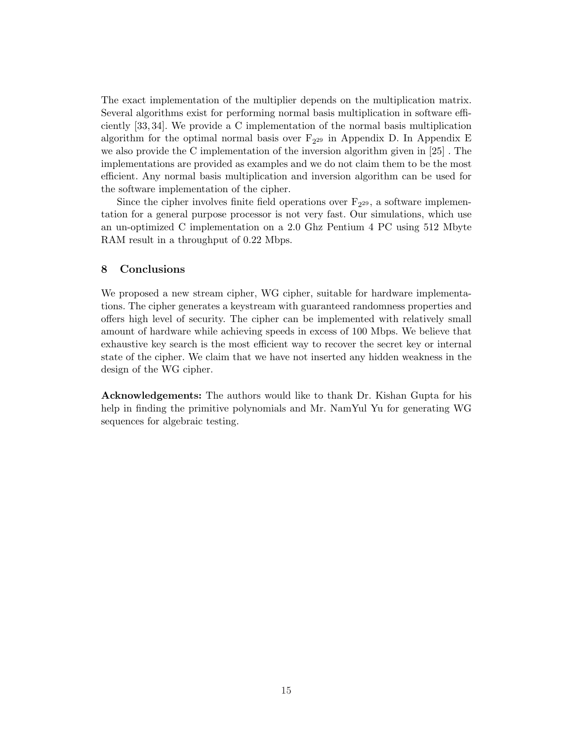The exact implementation of the multiplier depends on the multiplication matrix. Several algorithms exist for performing normal basis multiplication in software efficiently [33, 34]. We provide a C implementation of the normal basis multiplication algorithm for the optimal normal basis over  $F_{2^{29}}$  in Appendix D. In Appendix E we also provide the C implementation of the inversion algorithm given in [25] . The implementations are provided as examples and we do not claim them to be the most efficient. Any normal basis multiplication and inversion algorithm can be used for the software implementation of the cipher.

Since the cipher involves finite field operations over  $F_{2^{29}}$ , a software implementation for a general purpose processor is not very fast. Our simulations, which use an un-optimized C implementation on a 2.0 Ghz Pentium 4 PC using 512 Mbyte RAM result in a throughput of 0.22 Mbps.

## 8 Conclusions

We proposed a new stream cipher, WG cipher, suitable for hardware implementations. The cipher generates a keystream with guaranteed randomness properties and offers high level of security. The cipher can be implemented with relatively small amount of hardware while achieving speeds in excess of 100 Mbps. We believe that exhaustive key search is the most efficient way to recover the secret key or internal state of the cipher. We claim that we have not inserted any hidden weakness in the design of the WG cipher.

Acknowledgements: The authors would like to thank Dr. Kishan Gupta for his help in finding the primitive polynomials and Mr. NamYul Yu for generating WG sequences for algebraic testing.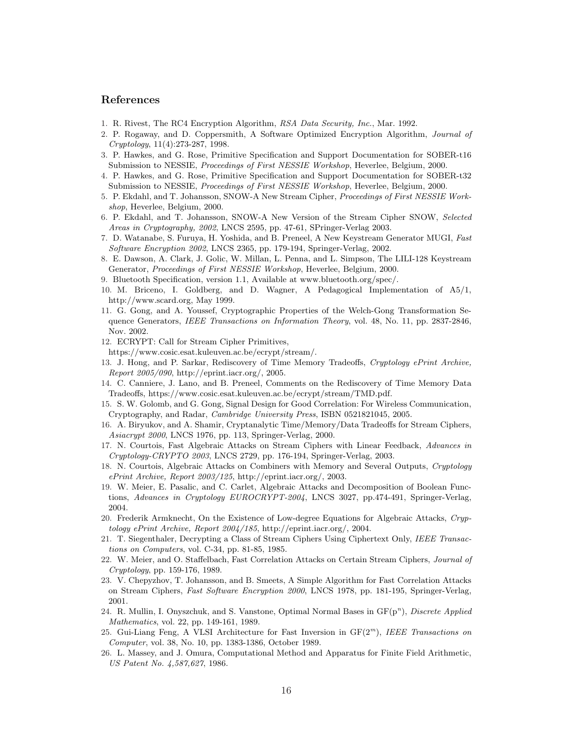## References

- 1. R. Rivest, The RC4 Encryption Algorithm, RSA Data Security, Inc., Mar. 1992.
- 2. P. Rogaway, and D. Coppersmith, A Software Optimized Encryption Algorithm, Journal of Cryptology, 11(4):273-287, 1998.
- 3. P. Hawkes, and G. Rose, Primitive Specification and Support Documentation for SOBER-t16 Submission to NESSIE, Proceedings of First NESSIE Workshop, Heverlee, Belgium, 2000.
- 4. P. Hawkes, and G. Rose, Primitive Specification and Support Documentation for SOBER-t32 Submission to NESSIE, Proceedings of First NESSIE Workshop, Heverlee, Belgium, 2000.
- 5. P. Ekdahl, and T. Johansson, SNOW-A New Stream Cipher, Proceedings of First NESSIE Workshop, Heverlee, Belgium, 2000.
- 6. P. Ekdahl, and T. Johansson, SNOW-A New Version of the Stream Cipher SNOW, Selected Areas in Cryptography, 2002, LNCS 2595, pp. 47-61, SPringer-Verlag 2003.
- 7. D. Watanabe, S. Furuya, H. Yoshida, and B. Preneel, A New Keystream Generator MUGI, Fast Software Encryption 2002, LNCS 2365, pp. 179-194, Springer-Verlag, 2002.
- 8. E. Dawson, A. Clark, J. Golic, W. Millan, L. Penna, and L. Simpson, The LILI-128 Keystream Generator, Proceedings of First NESSIE Workshop, Heverlee, Belgium, 2000.
- 9. Bluetooth Specification, version 1.1, Available at www.bluetooth.org/spec/.
- 10. M. Briceno, I. Goldberg, and D. Wagner, A Pedagogical Implementation of A5/1, http://www.scard.org, May 1999.
- 11. G. Gong, and A. Youssef, Cryptographic Properties of the Welch-Gong Transformation Sequence Generators, IEEE Transactions on Information Theory, vol. 48, No. 11, pp. 2837-2846, Nov. 2002.
- 12. ECRYPT: Call for Stream Cipher Primitives,
- https://www.cosic.esat.kuleuven.ac.be/ecrypt/stream/.
- 13. J. Hong, and P. Sarkar, Rediscovery of Time Memory Tradeoffs, Cryptology ePrint Archive, Report 2005/090, http://eprint.iacr.org/, 2005.
- 14. C. Canniere, J. Lano, and B. Preneel, Comments on the Rediscovery of Time Memory Data Tradeoffs, https://www.cosic.esat.kuleuven.ac.be/ecrypt/stream/TMD.pdf.
- 15. S. W. Golomb, and G. Gong, Signal Design for Good Correlation: For Wireless Communication, Cryptography, and Radar, Cambridge University Press, ISBN 0521821045, 2005.
- 16. A. Biryukov, and A. Shamir, Cryptanalytic Time/Memory/Data Tradeoffs for Stream Ciphers, Asiacrypt 2000, LNCS 1976, pp. 113, Springer-Verlag, 2000.
- 17. N. Courtois, Fast Algebraic Attacks on Stream Ciphers with Linear Feedback, Advances in Cryptology-CRYPTO 2003, LNCS 2729, pp. 176-194, Springer-Verlag, 2003.
- 18. N. Courtois, Algebraic Attacks on Combiners with Memory and Several Outputs, Cryptology  $ePrint$  Archive, Report 2003/125, http://eprint.iacr.org/, 2003.
- 19. W. Meier, E. Pasalic, and C. Carlet, Algebraic Attacks and Decomposition of Boolean Functions, Advances in Cryptology EUROCRYPT-2004, LNCS 3027, pp.474-491, Springer-Verlag, 2004.
- 20. Frederik Armknecht, On the Existence of Low-degree Equations for Algebraic Attacks, Cryptology ePrint Archive, Report 2004/185, http://eprint.iacr.org/, 2004.
- 21. T. Siegenthaler, Decrypting a Class of Stream Ciphers Using Ciphertext Only, IEEE Transactions on Computers, vol. C-34, pp. 81-85, 1985.
- 22. W. Meier, and O. Staffelbach, Fast Correlation Attacks on Certain Stream Ciphers, Journal of Cryptology, pp. 159-176, 1989.
- 23. V. Chepyzhov, T. Johansson, and B. Smeets, A Simple Algorithm for Fast Correlation Attacks on Stream Ciphers, Fast Software Encryption 2000, LNCS 1978, pp. 181-195, Springer-Verlag, 2001.
- 24. R. Mullin, I. Onyszchuk, and S. Vanstone, Optimal Normal Bases in  $GF(p^n)$ , Discrete Applied Mathematics, vol. 22, pp. 149-161, 1989.
- 25. Gui-Liang Feng, A VLSI Architecture for Fast Inversion in  $GF(2<sup>m</sup>)$ , IEEE Transactions on Computer, vol. 38, No. 10, pp. 1383-1386, October 1989.
- 26. L. Massey, and J. Omura, Computational Method and Apparatus for Finite Field Arithmetic, US Patent No. 4,587,627, 1986.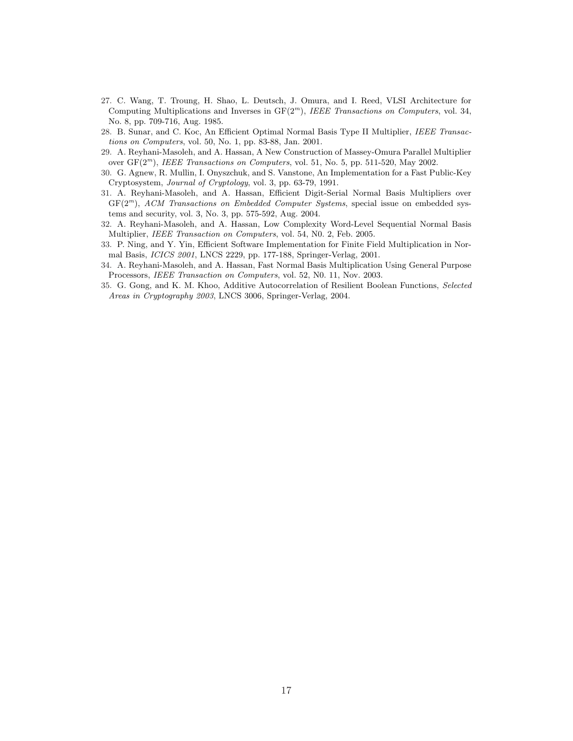- 27. C. Wang, T. Troung, H. Shao, L. Deutsch, J. Omura, and I. Reed, VLSI Architecture for Computing Multiplications and Inverses in  $GF(2<sup>m</sup>)$ , IEEE Transactions on Computers, vol. 34, No. 8, pp. 709-716, Aug. 1985.
- 28. B. Sunar, and C. Koc, An Efficient Optimal Normal Basis Type II Multiplier, IEEE Transactions on Computers, vol. 50, No. 1, pp. 83-88, Jan. 2001.
- 29. A. Reyhani-Masoleh, and A. Hassan, A New Construction of Massey-Omura Parallel Multiplier over  $GF(2<sup>m</sup>)$ , IEEE Transactions on Computers, vol. 51, No. 5, pp. 511-520, May 2002.
- 30. G. Agnew, R. Mullin, I. Onyszchuk, and S. Vanstone, An Implementation for a Fast Public-Key Cryptosystem, Journal of Cryptology, vol. 3, pp. 63-79, 1991.
- 31. A. Reyhani-Masoleh, and A. Hassan, Efficient Digit-Serial Normal Basis Multipliers over  $GF(2<sup>m</sup>)$ , ACM Transactions on Embedded Computer Systems, special issue on embedded systems and security, vol. 3, No. 3, pp. 575-592, Aug. 2004.
- 32. A. Reyhani-Masoleh, and A. Hassan, Low Complexity Word-Level Sequential Normal Basis Multiplier, IEEE Transaction on Computers, vol. 54, N0. 2, Feb. 2005.
- 33. P. Ning, and Y. Yin, Efficient Software Implementation for Finite Field Multiplication in Normal Basis, ICICS 2001, LNCS 2229, pp. 177-188, Springer-Verlag, 2001.
- 34. A. Reyhani-Masoleh, and A. Hassan, Fast Normal Basis Multiplication Using General Purpose Processors, IEEE Transaction on Computers, vol. 52, N0. 11, Nov. 2003.
- 35. G. Gong, and K. M. Khoo, Additive Autocorrelation of Resilient Boolean Functions, Selected Areas in Cryptography 2003, LNCS 3006, Springer-Verlag, 2004.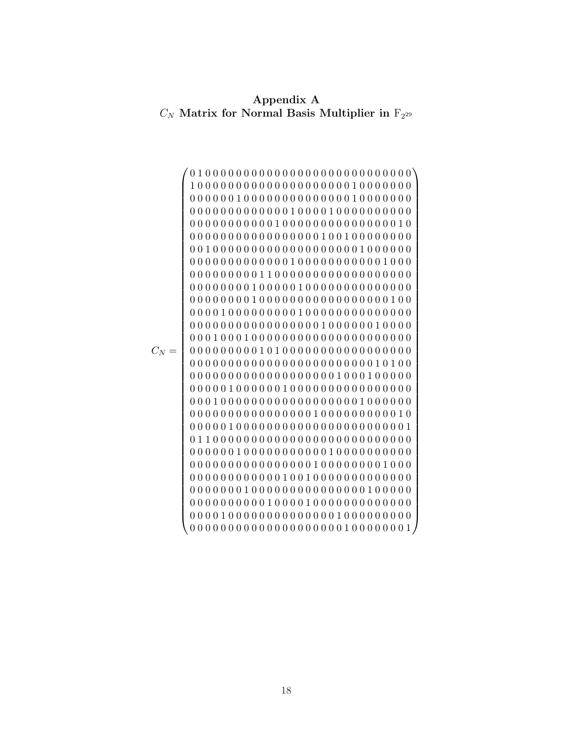Appendix A  $C_N$  Matrix for Normal Basis Multiplier in  $F_{2^{29}}$ 

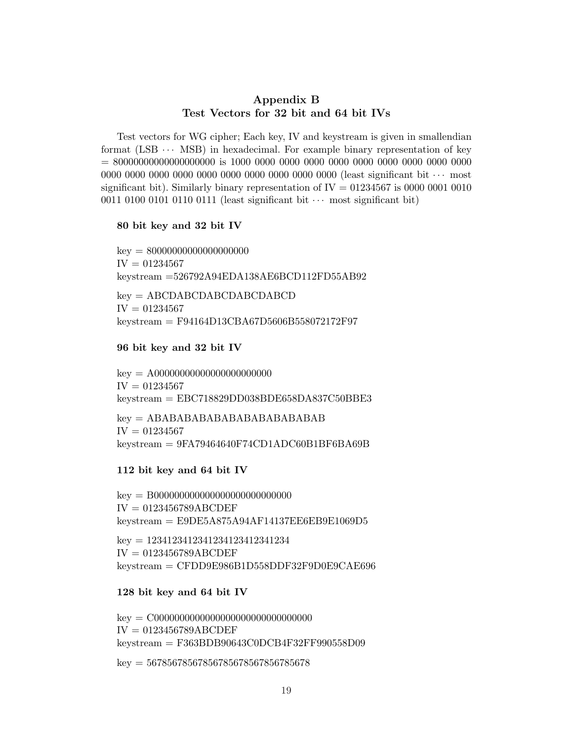## Appendix B Test Vectors for 32 bit and 64 bit IVs

Test vectors for WG cipher; Each key, IV and keystream is given in smallendian format (LSB  $\cdots$  MSB) in hexadecimal. For example binary representation of key = 80000000000000000000 is 1000 0000 0000 0000 0000 0000 0000 0000 0000 0000 0000 0000 0000 0000 0000 0000 0000 0000 0000 0000 (least significant bit · · · most significant bit). Similarly binary representation of  $IV = 01234567$  is 0000 0001 0010 0011 0100 0101 0110 0111 (least significant bit  $\cdots$  most significant bit)

## 80 bit key and 32 bit IV

 $key = 80000000000000000000$  $IV = 01234567$ keystream =526792A94EDA138AE6BCD112FD55AB92

key = ABCDABCDABCDABCDABCD  $IV = 01234567$ keystream = F94164D13CBA67D5606B558072172F97

## 96 bit key and 32 bit IV

key = A00000000000000000000000  $IV = 01234567$ keystream = EBC718829DD038BDE658DA837C50BBE3

 $key = ABABABABABABABABABABAB$  $IV = 01234567$  $kevstream = 9FA79464640F74CD1ADC60B1BF6BA69B$ 

## 112 bit key and 64 bit IV

key = B000000000000000000000000000 IV = 0123456789ABCDEF  $kevstream = E9DE5A875A94AF14137EE6EB9E1069D5$ 

key = 1234123412341234123412341234  $IV = 0123456789ABCDEF$ keystream = CFDD9E986B1D558DDF32F9D0E9CAE696

## 128 bit key and 64 bit IV

key = C0000000000000000000000000000000  $IV = 0123456789ABCDEF$ keystream = F363BDB90643C0DCB4F32FF990558D09

 $key = 5678567856785678567856785678$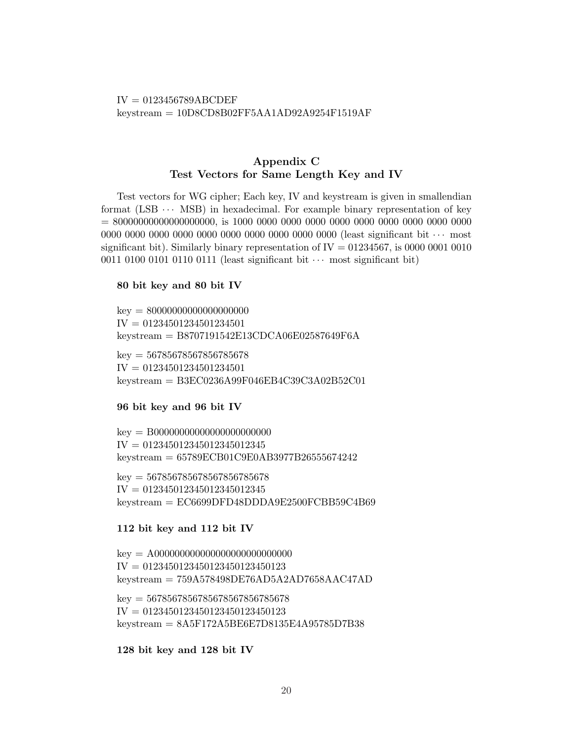## $IV = 0123456789ABCDEF$ keystream = 10D8CD8B02FF5AA1AD92A9254F1519AF

# Appendix C Test Vectors for Same Length Key and IV

Test vectors for WG cipher; Each key, IV and keystream is given in smallendian format  $(LSB \cdots MSB)$  in hexadecimal. For example binary representation of key = 80000000000000000000, is 1000 0000 0000 0000 0000 0000 0000 0000 0000 0000 0000 0000 0000 0000 0000 0000 0000 0000 0000 0000 (least significant bit · · · most significant bit). Similarly binary representation of  $IV = 01234567$ , is 0000 0001 0010 0011 0100 0101 0110 0111 (least significant bit  $\cdots$  most significant bit)

## 80 bit key and 80 bit IV

 $key = 80000000000000000000$  $IV = 01234501234501234501$ keystream = B8707191542E13CDCA06E02587649F6A

 $key = 56785678567856785678$  $IV = 01234501234501234501$ keystream = B3EC0236A99F046EB4C39C3A02B52C01

## 96 bit key and 96 bit IV

key = B00000000000000000000000 IV = 012345012345012345012345 keystream = 65789ECB01C9E0AB3977B26555674242

 $key = 567856785678567856785678$ IV = 012345012345012345012345 keystream = EC6699DFD48DDDA9E2500FCBB59C4B69

## 112 bit key and 112 bit IV

key = A000000000000000000000000000  $IV = 0123450123450123450123450123$ keystream = 759A578498DE76AD5A2AD7658AAC47AD

 $key = 5678567856785678567856785678$ IV = 0123450123450123450123450123 keystream = 8A5F172A5BE6E7D8135E4A95785D7B38

128 bit key and 128 bit IV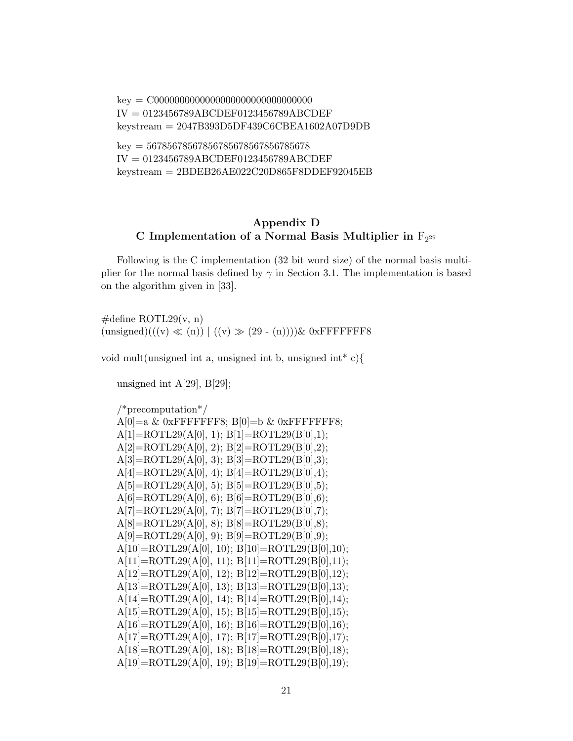key = C0000000000000000000000000000000 IV = 0123456789ABCDEF0123456789ABCDEF keystream = 2047B393D5DF439C6CBEA1602A07D9DB  $key = 5678567856785678567856785678$ IV = 0123456789ABCDEF0123456789ABCDEF

keystream = 2BDEB26AE022C20D865F8DDEF92045EB

# Appendix D C Implementation of a Normal Basis Multiplier in  $F_{2^{29}}$

Following is the C implementation (32 bit word size) of the normal basis multiplier for the normal basis defined by  $\gamma$  in Section 3.1. The implementation is based on the algorithm given in [33].

 $\#$ define ROTL29(v, n)  $(\text{unsigned})((v) \ll (n)) | ((v) \gg (29 - (n))))$ & 0xFFFFFFF8

void mult(unsigned int a, unsigned int b, unsigned int\*  $c$ ){

unsigned int  $A[29], B[29]$ ;

/\*precomputation\*/ A[0]=a & 0xFFFFFFF8; B[0]=b & 0xFFFFFFF8;  $A[1] = ROTL29(A[0], 1); B[1] = ROTL29(B[0], 1);$  $A[2] = ROTL29(A[0], 2); B[2] = ROTL29(B[0], 2);$  $A[3] = ROTL29(A[0], 3); B[3] = ROTL29(B[0], 3);$  $A[4] = ROTL29(A[0], 4); B[4] = ROTL29(B[0], 4);$  $A[5] = ROTL29(A[0], 5); B[5] = ROTL29(B[0], 5);$  $A[6] = ROTL29(A[0], 6); B[6] = ROTL29(B[0], 6);$  $A[7] = ROTL29(A[0], 7); B[7] = ROTL29(B[0], 7);$  $A[8] = ROTL29(A[0], 8); B[8] = ROTL29(B[0], 8);$  $A[9] = ROTL29(A[0], 9); B[9] = ROTL29(B[0], 9);$  $A[10]=ROTL29(A[0], 10); B[10]=ROTL29(B[0], 10);$  $A[11] = ROTL29(A[0], 11); B[11] = ROTL29(B[0], 11);$ A[12]=ROTL29(A[0], 12); B[12]=ROTL29(B[0],12); A[13]=ROTL29(A[0], 13); B[13]=ROTL29(B[0],13);  $A[14] = ROTL29(A[0], 14); B[14] = ROTL29(B[0], 14);$  $A[15] = ROTL29(A[0], 15); B[15] = ROTL29(B[0], 15);$  $A[16] = ROTL29(A[0], 16); B[16] = ROTL29(B[0], 16);$ A[17]=ROTL29(A[0], 17); B[17]=ROTL29(B[0],17); A[18]=ROTL29(A[0], 18); B[18]=ROTL29(B[0],18); A[19]=ROTL29(A[0], 19); B[19]=ROTL29(B[0],19);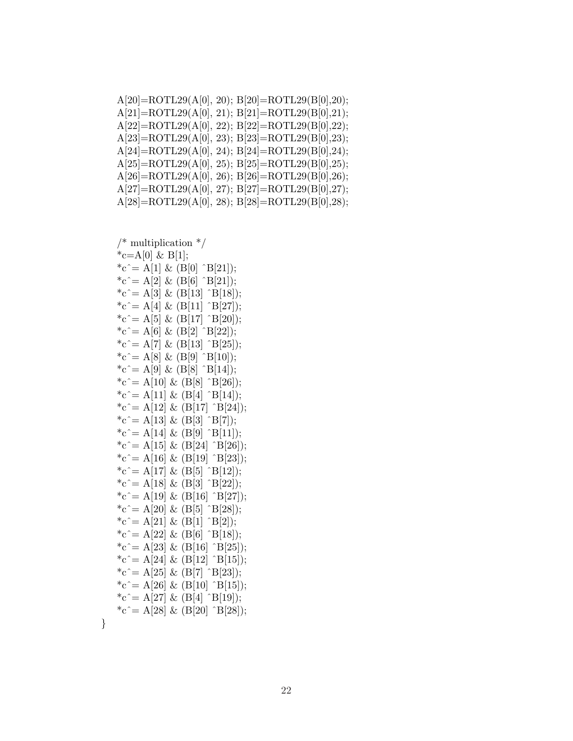| $A[20] = ROTL29(A[0], 20); B[20] = ROTL29(B[0], 20);$ |
|-------------------------------------------------------|
| $A[21] = ROTL29(A[0], 21); B[21] = ROTL29(B[0], 21);$ |
| $A[22]=ROTL29(A[0], 22); B[22]=ROTL29(B[0], 22);$     |
| $A[23] = ROTL29(A[0], 23); B[23] = ROTL29(B[0], 23);$ |
| $A[24] = ROTL29(A[0], 24); B[24] = ROTL29(B[0], 24);$ |
| $A[25] = ROTL29(A[0], 25); B[25] = ROTL29(B[0], 25);$ |
| $A[26] = ROTL29(A[0], 26); B[26] = ROTL29(B[0], 26);$ |
| $A[27] = ROTL29(A[0], 27); B[27] = ROTL29(B[0], 27);$ |
| $A[28] = ROTL29(A[0], 28); B[28] = ROTL29(B[0], 28);$ |
|                                                       |

```
/* multiplication */*c=A[0] & B[1];
*c^= A[1] & (B[0] ^B[21]);
{}^*c^* = A[2] \& (B[6] \cap B[21]);*c^ = A[3] & (B[13] ^B[18]);
{}^*\mathrm{c} \hat{ } = \mathrm{A}[4] \& \mathrm{(B[11]} \hat{ } \mathrm{B[27]});*c^= A[5] & (B[17] ^B[20]);
*c^= A[6] & (B[2] ^B[22]);
*c^= A[7] & (B[13] ^B[25]);
{}^*c^* = A[8] \& (B[9] \hat{B}[10]);{}^*c^* = A[9] \& (B[8] \uparrow B[14]);*c^= A[10] & (B[8] ^B[26]);
*c^= A[11] & (B[4] ^B[14]);
*c^= A[12] & (B[17] ^B[24]);
*c^= A[13] & (B[3] ^B[7]);
{}^*\mathrm{c} \hat{ } = \mathrm{A}[14] \& \mathrm{(B[9]} \hat{ } \; \mathrm{B[11]});*c^= A[15] & (B[24] ^B[26]);
*c^= A[16] & (B[19] ^B[23]);
*c^= A[17] & (B[5] ^B[12]);
*c^= A[18] & (B[3] ^B[22]);
*c^= A[19] & (B[16] ^B[27]);
{}^*c^* = A[20] \& (B[5] \cap B[28]);
*c^= A[21] & (B[1] ^B[2]);
*c^ = A[22] & (B[6] ^B[18]);
*c^= A[23] & (B[16] ^B[25]);
*c^ = A[24] & (B[12] ^B[15]);
*c^ = A[25] & (B[7] ^B[23]);
*c^= A[26] & (B[10] ^B[15]);
*c^= A[27] & (B[4] ^B[19]);
*c^= A[28] & (B[20] ^B[28]);
```
}